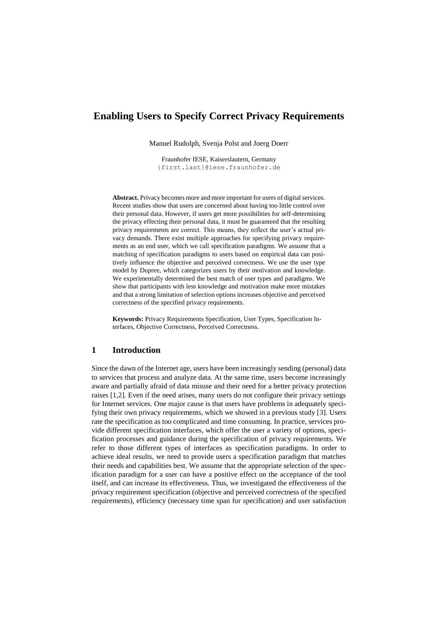# **Enabling Users to Specify Correct Privacy Requirements**

Manuel Rudolph, Svenja Polst and Joerg Doerr

Fraunhofer IESE, Kaiserslautern, Germany {first.last}@iese.fraunhofer.de

**Abstract.** Privacy becomes more and more important for users of digital services. Recent studies show that users are concerned about having too little control over their personal data. However, if users get more possibilities for self-determining the privacy effecting their personal data, it must be guaranteed that the resulting privacy requirements are correct. This means, they reflect the user's actual privacy demands. There exist multiple approaches for specifying privacy requirements as an end user, which we call specification paradigms. We assume that a matching of specification paradigms to users based on empirical data can positively influence the objective and perceived correctness. We use the user type model by Dupree, which categorizes users by their motivation and knowledge. We experimentally determined the best match of user types and paradigms. We show that participants with less knowledge and motivation make more mistakes and that a strong limitation of selection options increases objective and perceived correctness of the specified privacy requirements.

**Keywords:** Privacy Requirements Specification, User Types, Specification Interfaces, Objective Correctness, Perceived Correctness.

## **1 Introduction**

Since the dawn of the Internet age, users have been increasingly sending (personal) data to services that process and analyze data. At the same time, users become increasingly aware and partially afraid of data misuse and their need for a better privacy protection raises [\[1,](#page-14-0)[2\]](#page-14-1). Even if the need arises, many users do not configure their privacy settings for Internet services. One major cause is that users have problems in adequately specifying their own privacy requirements, which we showed in a previous study [\[3\]](#page-14-2). Users rate the specification as too complicated and time consuming. In practice, services provide different specification interfaces, which offer the user a variety of options, specification processes and guidance during the specification of privacy requirements. We refer to those different types of interfaces as specification paradigms. In order to achieve ideal results, we need to provide users a specification paradigm that matches their needs and capabilities best. We assume that the appropriate selection of the specification paradigm for a user can have a positive effect on the acceptance of the tool itself, and can increase its effectiveness. Thus, we investigated the effectiveness of the privacy requirement specification (objective and perceived correctness of the specified requirements), efficiency (necessary time span for specification) and user satisfaction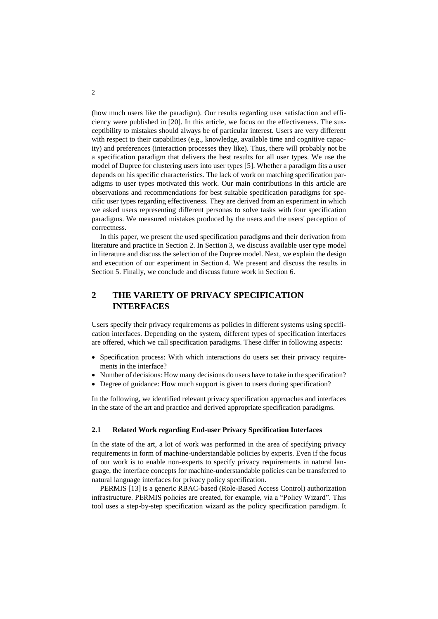(how much users like the paradigm). Our results regarding user satisfaction and efficiency were published in [\[20\]](#page-15-0). In this article, we focus on the effectiveness. The susceptibility to mistakes should always be of particular interest. Users are very different with respect to their capabilities (e.g., knowledge, available time and cognitive capacity) and preferences (interaction processes they like). Thus, there will probably not be a specification paradigm that delivers the best results for all user types. We use the model of Dupree for clustering users into user types [\[5\]](#page-14-3). Whether a paradigm fits a user depends on his specific characteristics. The lack of work on matching specification paradigms to user types motivated this work. Our main contributions in this article are observations and recommendations for best suitable specification paradigms for specific user types regarding effectiveness. They are derived from an experiment in which we asked users representing different personas to solve tasks with four specification paradigms. We measured mistakes produced by the users and the users' perception of correctness.

In this paper, we present the used specification paradigms and their derivation from literature and practice in Section 2. In Section 3, we discuss available user type model in literature and discuss the selection of the Dupree model. Next, we explain the design and execution of our experiment in Section 4. We present and discuss the results in Section 5. Finally, we conclude and discuss future work in Section 6.

# **2 THE VARIETY OF PRIVACY SPECIFICATION INTERFACES**

Users specify their privacy requirements as policies in different systems using specification interfaces. Depending on the system, different types of specification interfaces are offered, which we call specification paradigms. These differ in following aspects:

- Specification process: With which interactions do users set their privacy requirements in the interface?
- Number of decisions: How many decisions do users have to take in the specification?
- Degree of guidance: How much support is given to users during specification?

In the following, we identified relevant privacy specification approaches and interfaces in the state of the art and practice and derived appropriate specification paradigms.

## **2.1 Related Work regarding End-user Privacy Specification Interfaces**

In the state of the art, a lot of work was performed in the area of specifying privacy requirements in form of machine-understandable policies by experts. Even if the focus of our work is to enable non-experts to specify privacy requirements in natural language, the interface concepts for machine-understandable policies can be transferred to natural language interfaces for privacy policy specification.

PERMIS [\[13\]](#page-15-1) is a generic RBAC-based (Role-Based Access Control) authorization infrastructure. PERMIS policies are created, for example, via a "Policy Wizard". This tool uses a step-by-step specification wizard as the policy specification paradigm. It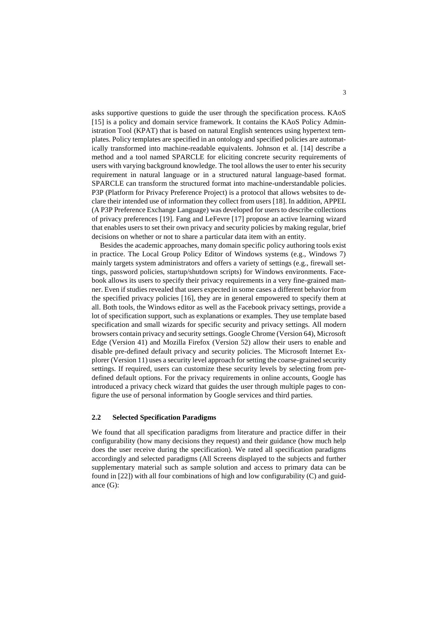asks supportive questions to guide the user through the specification process. KAoS [\[15\]](#page-15-2) is a policy and domain service framework. It contains the KAoS Policy Administration Tool (KPAT) that is based on natural English sentences using hypertext templates. Policy templates are specified in an ontology and specified policies are automatically transformed into machine-readable equivalents. Johnson et al. [\[14\]](#page-15-3) describe a method and a tool named SPARCLE for eliciting concrete security requirements of users with varying background knowledge. The tool allows the user to enter his security requirement in natural language or in a structured natural language-based format. SPARCLE can transform the structured format into machine-understandable policies. P3P (Platform for Privacy Preference Project) is a protocol that allows websites to declare their intended use of information they collect from users [\[18\]](#page-15-4). In addition, APPEL (A P3P Preference Exchange Language) was developed for users to describe collections of privacy preferences [\[19\]](#page-15-5). Fang and LeFevre [\[17\]](#page-15-6) propose an active learning wizard that enables users to set their own privacy and security policies by making regular, brief decisions on whether or not to share a particular data item with an entity.

Besides the academic approaches, many domain specific policy authoring tools exist in practice. The Local Group Policy Editor of Windows systems (e.g., Windows 7) mainly targets system administrators and offers a variety of settings (e.g., firewall settings, password policies, startup/shutdown scripts) for Windows environments. Facebook allows its users to specify their privacy requirements in a very fine-grained manner. Even if studies revealed that users expected in some cases a different behavior from the specified privacy policies [\[16\]](#page-15-7), they are in general empowered to specify them at all. Both tools, the Windows editor as well as the Facebook privacy settings, provide a lot of specification support, such as explanations or examples. They use template based specification and small wizards for specific security and privacy settings. All modern browsers contain privacy and security settings. Google Chrome (Version 64), Microsoft Edge (Version 41) and Mozilla Firefox (Version 52) allow their users to enable and disable pre-defined default privacy and security policies. The Microsoft Internet Explorer (Version 11) uses a security level approach for setting the coarse-grained security settings. If required, users can customize these security levels by selecting from predefined default options. For the privacy requirements in online accounts, Google has introduced a privacy check wizard that guides the user through multiple pages to configure the use of personal information by Google services and third parties.

## **2.2 Selected Specification Paradigms**

We found that all specification paradigms from literature and practice differ in their configurability (how many decisions they request) and their guidance (how much help does the user receive during the specification). We rated all specification paradigms accordingly and selected paradigms (All Screens displayed to the subjects and further supplementary material such as sample solution and access to primary data can be found in [\[22\]](#page-15-8)) with all four combinations of high and low configurability (C) and guidance (G):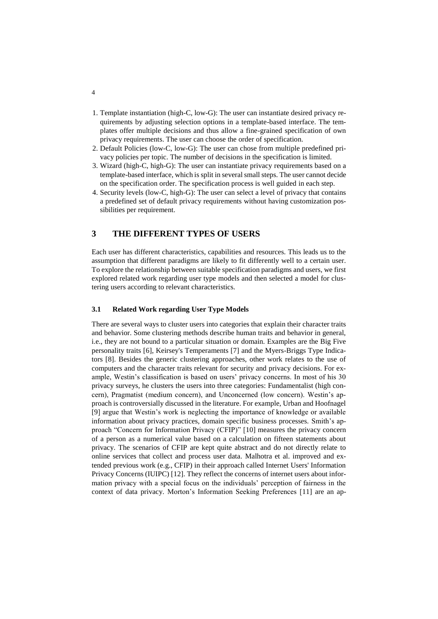- 1. Template instantiation (high-C, low-G): The user can instantiate desired privacy requirements by adjusting selection options in a template-based interface. The templates offer multiple decisions and thus allow a fine-grained specification of own privacy requirements. The user can choose the order of specification.
- 2. Default Policies (low-C, low-G): The user can chose from multiple predefined privacy policies per topic. The number of decisions in the specification is limited.
- 3. Wizard (high-C, high-G): The user can instantiate privacy requirements based on a template-based interface, which is split in several small steps. The user cannot decide on the specification order. The specification process is well guided in each step.
- 4. Security levels (low-C, high-G): The user can select a level of privacy that contains a predefined set of default privacy requirements without having customization possibilities per requirement.

## **3 THE DIFFERENT TYPES OF USERS**

Each user has different characteristics, capabilities and resources. This leads us to the assumption that different paradigms are likely to fit differently well to a certain user. To explore the relationship between suitable specification paradigms and users, we first explored related work regarding user type models and then selected a model for clustering users according to relevant characteristics.

### **3.1 Related Work regarding User Type Models**

There are several ways to cluster users into categories that explain their character traits and behavior. Some clustering methods describe human traits and behavior in general, i.e., they are not bound to a particular situation or domain. Examples are the Big Five personality traits [\[6\]](#page-14-4), Keirsey's Temperaments [\[7\]](#page-14-5) and the Myers-Briggs Type Indicators [\[8\]](#page-15-9). Besides the generic clustering approaches, other work relates to the use of computers and the character traits relevant for security and privacy decisions. For example, Westin's classification is based on users' privacy concerns. In most of his 30 privacy surveys, he clusters the users into three categories: Fundamentalist (high concern), Pragmatist (medium concern), and Unconcerned (low concern). Westin's approach is controversially discussed in the literature. For example, Urban and Hoofnagel [\[9\]](#page-15-10) argue that Westin's work is neglecting the importance of knowledge or available information about privacy practices, domain specific business processes. Smith's approach "Concern for Information Privacy (CFIP)" [\[10\]](#page-15-11) measures the privacy concern of a person as a numerical value based on a calculation on fifteen statements about privacy. The scenarios of CFIP are kept quite abstract and do not directly relate to online services that collect and process user data. Malhotra et al. improved and extended previous work (e.g., CFIP) in their approach called Internet Users' Information Privacy Concerns (IUIPC) [\[12\]](#page-15-12). They reflect the concerns of internet users about information privacy with a special focus on the individuals' perception of fairness in the context of data privacy. Morton's Information Seeking Preferences [\[11\]](#page-15-13) are an ap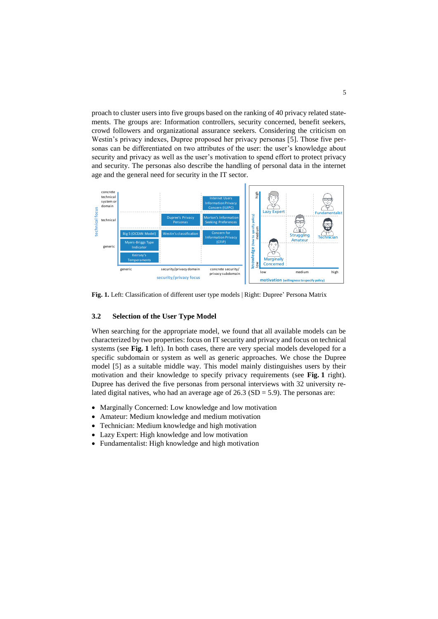proach to cluster users into five groups based on the ranking of 40 privacy related statements. The groups are: Information controllers, security concerned, benefit seekers, crowd followers and organizational assurance seekers. Considering the criticism on Westin's privacy indexes, Dupree proposed her privacy personas [\[5\]](#page-14-3). Those five personas can be differentiated on two attributes of the user: the user's knowledge about security and privacy as well as the user's motivation to spend effort to protect privacy and security. The personas also describe the handling of personal data in the internet age and the general need for security in the IT sector.



<span id="page-4-0"></span>**Fig. 1.** Left: Classification of different user type models | Right: Dupree' Persona Matrix

## **3.2 Selection of the User Type Model**

When searching for the appropriate model, we found that all available models can be characterized by two properties: focus on IT security and privacy and focus on technical systems (see **[Fig.](#page-4-0) 1** left). In both cases, there are very special models developed for a specific subdomain or system as well as generic approaches. We chose the Dupree model [\[5\]](#page-14-3) as a suitable middle way. This model mainly distinguishes users by their motivation and their knowledge to specify privacy requirements (see **[Fig.](#page-4-0) 1** right). Dupree has derived the five personas from personal interviews with 32 university related digital natives, who had an average age of  $26.3$  (SD = 5.9). The personas are:

- Marginally Concerned: Low knowledge and low motivation
- Amateur: Medium knowledge and medium motivation
- Technician: Medium knowledge and high motivation
- Lazy Expert: High knowledge and low motivation
- Fundamentalist: High knowledge and high motivation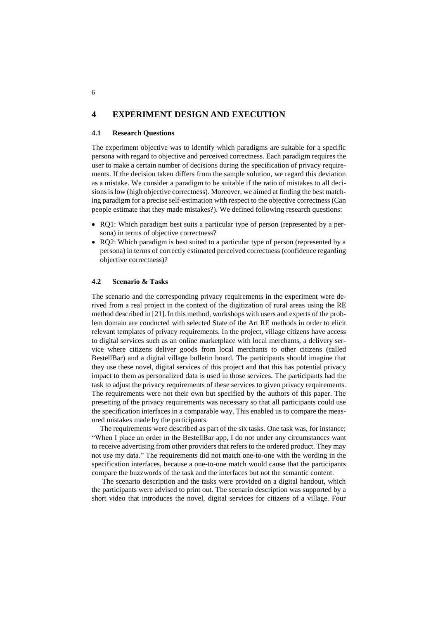## **4 EXPERIMENT DESIGN AND EXECUTION**

## **4.1 Research Questions**

The experiment objective was to identify which paradigms are suitable for a specific persona with regard to objective and perceived correctness. Each paradigm requires the user to make a certain number of decisions during the specification of privacy requirements. If the decision taken differs from the sample solution, we regard this deviation as a mistake. We consider a paradigm to be suitable if the ratio of mistakes to all decisions is low (high objective correctness). Moreover, we aimed at finding the best matching paradigm for a precise self-estimation with respect to the objective correctness (Can people estimate that they made mistakes?). We defined following research questions:

- RQ1: Which paradigm best suits a particular type of person (represented by a persona) in terms of objective correctness?
- RQ2: Which paradigm is best suited to a particular type of person (represented by a persona) in terms of correctly estimated perceived correctness (confidence regarding objective correctness)?

## **4.2 Scenario & Tasks**

The scenario and the corresponding privacy requirements in the experiment were derived from a real project in the context of the digitization of rural areas using the RE method described in [\[21\]](#page-15-14).In this method, workshops with users and experts of the problem domain are conducted with selected State of the Art RE methods in order to elicit relevant templates of privacy requirements. In the project, village citizens have access to digital services such as an online marketplace with local merchants, a delivery service where citizens deliver goods from local merchants to other citizens (called BestellBar) and a digital village bulletin board. The participants should imagine that they use these novel, digital services of this project and that this has potential privacy impact to them as personalized data is used in those services. The participants had the task to adjust the privacy requirements of these services to given privacy requirements. The requirements were not their own but specified by the authors of this paper. The presetting of the privacy requirements was necessary so that all participants could use the specification interfaces in a comparable way. This enabled us to compare the measured mistakes made by the participants.

The requirements were described as part of the six tasks. One task was, for instance; "When I place an order in the BestellBar app, I do not under any circumstances want to receive advertising from other providers that refers to the ordered product. They may not use my data." The requirements did not match one-to-one with the wording in the specification interfaces, because a one-to-one match would cause that the participants compare the buzzwords of the task and the interfaces but not the semantic content.

The scenario description and the tasks were provided on a digital handout, which the participants were advised to print out. The scenario description was supported by a short video that introduces the novel, digital services for citizens of a village. Four

6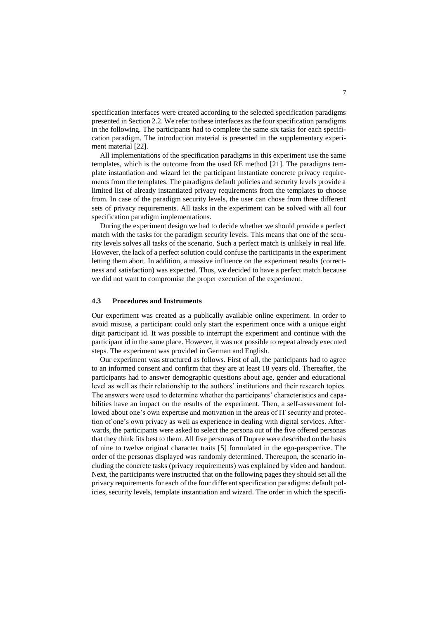specification interfaces were created according to the selected specification paradigms presented in Section 2.2. We refer to these interfaces as the four specification paradigms in the following. The participants had to complete the same six tasks for each specification paradigm. The introduction material is presented in the supplementary experiment material [\[22\]](#page-15-8).

All implementations of the specification paradigms in this experiment use the same templates, which is the outcome from the used RE method [\[21\]](#page-15-14). The paradigms template instantiation and wizard let the participant instantiate concrete privacy requirements from the templates. The paradigms default policies and security levels provide a limited list of already instantiated privacy requirements from the templates to choose from. In case of the paradigm security levels, the user can chose from three different sets of privacy requirements. All tasks in the experiment can be solved with all four specification paradigm implementations.

During the experiment design we had to decide whether we should provide a perfect match with the tasks for the paradigm security levels. This means that one of the security levels solves all tasks of the scenario. Such a perfect match is unlikely in real life. However, the lack of a perfect solution could confuse the participants in the experiment letting them abort. In addition, a massive influence on the experiment results (correctness and satisfaction) was expected. Thus, we decided to have a perfect match because we did not want to compromise the proper execution of the experiment.

### **4.3 Procedures and Instruments**

Our experiment was created as a publically available online experiment. In order to avoid misuse, a participant could only start the experiment once with a unique eight digit participant id. It was possible to interrupt the experiment and continue with the participant id in the same place. However, it was not possible to repeat already executed steps. The experiment was provided in German and English.

Our experiment was structured as follows. First of all, the participants had to agree to an informed consent and confirm that they are at least 18 years old. Thereafter, the participants had to answer demographic questions about age, gender and educational level as well as their relationship to the authors' institutions and their research topics. The answers were used to determine whether the participants' characteristics and capabilities have an impact on the results of the experiment. Then, a self-assessment followed about one's own expertise and motivation in the areas of IT security and protection of one's own privacy as well as experience in dealing with digital services. Afterwards, the participants were asked to select the persona out of the five offered personas that they think fits best to them. All five personas of Dupree were described on the basis of nine to twelve original character traits [\[5\]](#page-14-3) formulated in the ego-perspective. The order of the personas displayed was randomly determined. Thereupon, the scenario including the concrete tasks (privacy requirements) was explained by video and handout. Next, the participants were instructed that on the following pages they should set all the privacy requirements for each of the four different specification paradigms: default policies, security levels, template instantiation and wizard. The order in which the specifi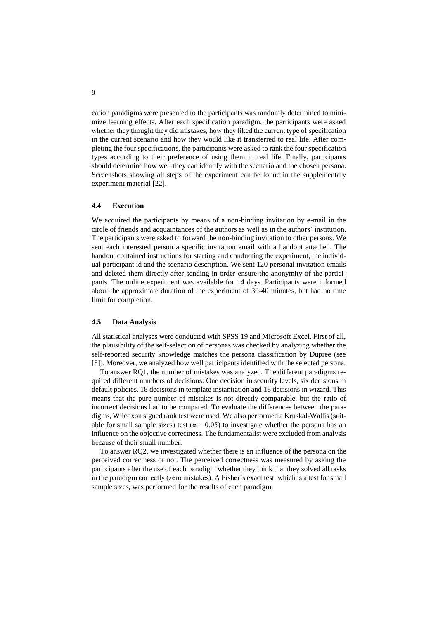cation paradigms were presented to the participants was randomly determined to minimize learning effects. After each specification paradigm, the participants were asked whether they thought they did mistakes, how they liked the current type of specification in the current scenario and how they would like it transferred to real life. After completing the four specifications, the participants were asked to rank the four specification types according to their preference of using them in real life. Finally, participants should determine how well they can identify with the scenario and the chosen persona. Screenshots showing all steps of the experiment can be found in the supplementary experiment material [\[22\]](#page-15-8).

#### **4.4 Execution**

We acquired the participants by means of a non-binding invitation by e-mail in the circle of friends and acquaintances of the authors as well as in the authors' institution. The participants were asked to forward the non-binding invitation to other persons. We sent each interested person a specific invitation email with a handout attached. The handout contained instructions for starting and conducting the experiment, the individual participant id and the scenario description. We sent 120 personal invitation emails and deleted them directly after sending in order ensure the anonymity of the participants. The online experiment was available for 14 days. Participants were informed about the approximate duration of the experiment of 30-40 minutes, but had no time limit for completion.

### **4.5 Data Analysis**

All statistical analyses were conducted with SPSS 19 and Microsoft Excel. First of all, the plausibility of the self-selection of personas was checked by analyzing whether the self-reported security knowledge matches the persona classification by Dupree (see [\[5\]](#page-14-3)). Moreover, we analyzed how well participants identified with the selected persona.

To answer RQ1, the number of mistakes was analyzed. The different paradigms required different numbers of decisions: One decision in security levels, six decisions in default policies, 18 decisions in template instantiation and 18 decisions in wizard. This means that the pure number of mistakes is not directly comparable, but the ratio of incorrect decisions had to be compared. To evaluate the differences between the paradigms, Wilcoxon signed rank test were used. We also performed a Kruskal-Wallis (suitable for small sample sizes) test ( $\alpha = 0.05$ ) to investigate whether the persona has an influence on the objective correctness. The fundamentalist were excluded from analysis because of their small number.

To answer RQ2, we investigated whether there is an influence of the persona on the perceived correctness or not. The perceived correctness was measured by asking the participants after the use of each paradigm whether they think that they solved all tasks in the paradigm correctly (zero mistakes). A Fisher's exact test, which is a test for small sample sizes, was performed for the results of each paradigm.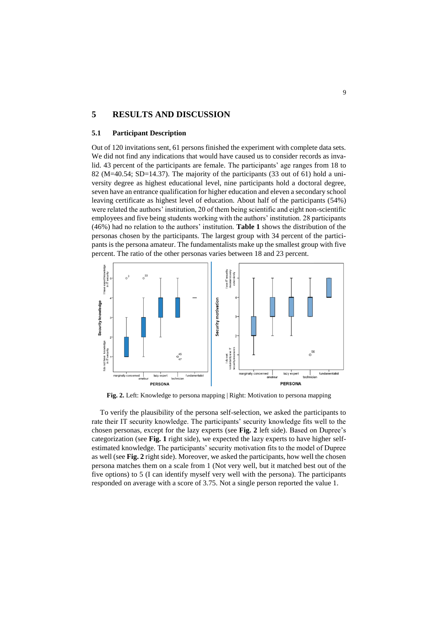## **5 RESULTS AND DISCUSSION**

### **5.1 Participant Description**

Out of 120 invitations sent, 61 persons finished the experiment with complete data sets. We did not find any indications that would have caused us to consider records as invalid. 43 percent of the participants are female. The participants' age ranges from 18 to 82 (M=40.54; SD=14.37). The majority of the participants (33 out of 61) hold a university degree as highest educational level, nine participants hold a doctoral degree, seven have an entrance qualification for higher education and eleven a secondary school leaving certificate as highest level of education. About half of the participants (54%) were related the authors' institution, 20 of them being scientific and eight non-scientific employees and five being students working with the authors' institution. 28 participants (46%) had no relation to the authors' institution. **[Table 1](#page-9-0)** shows the distribution of the personas chosen by the participants. The largest group with 34 percent of the participants is the persona amateur. The fundamentalists make up the smallest group with five percent. The ratio of the other personas varies between 18 and 23 percent.



<span id="page-8-0"></span>**Fig. 2.** Left: Knowledge to persona mapping | Right: Motivation to persona mapping

To verify the plausibility of the persona self-selection, we asked the participants to rate their IT security knowledge. The participants' security knowledge fits well to the chosen personas, except for the lazy experts (see **[Fig. 2](#page-8-0)** left side). Based on Dupree's categorization (see **[Fig.](#page-4-0) 1** right side), we expected the lazy experts to have higher selfestimated knowledge. The participants' security motivation fits to the model of Dupree as well (see **[Fig. 2](#page-8-0)** right side). Moreover, we asked the participants, how well the chosen persona matches them on a scale from 1 (Not very well, but it matched best out of the five options) to 5 (I can identify myself very well with the persona). The participants responded on average with a score of 3.75. Not a single person reported the value 1.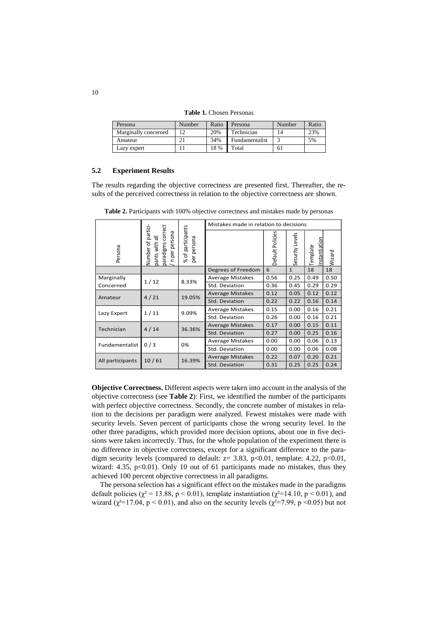**Table 1.** Chosen Personas

<span id="page-9-0"></span>

| Persona              | Number | Ratio | Persona               | Number | Ratio |
|----------------------|--------|-------|-----------------------|--------|-------|
| Marginally concerned |        | 20%   | Technician            |        | 23%   |
| Amateur              |        | 34%   | <b>Fundamentalist</b> |        | 5%    |
| Lazy expert          |        | 18 %  | Total                 | 61     |       |

#### **5.2 Experiment Results**

<span id="page-9-1"></span>The results regarding the objective correctness are presented first. Thereafter, the results of the perceived correctness in relation to the objective correctness are shown.

|                                                                                                                                                                                                                                                                               |                                                                                                          |                                  | Mistakes made in relation to decisions                                           |                  |                 |                         |        |  |
|-------------------------------------------------------------------------------------------------------------------------------------------------------------------------------------------------------------------------------------------------------------------------------|----------------------------------------------------------------------------------------------------------|----------------------------------|----------------------------------------------------------------------------------|------------------|-----------------|-------------------------|--------|--|
| paradigms correct<br><b>Jumber of partici-</b><br>n per persona<br>pants with al<br>Persona                                                                                                                                                                                   |                                                                                                          | % of participants<br>per persona |                                                                                  | Default Policies | Security Levels | nstantiatio<br>Template | Wizard |  |
|                                                                                                                                                                                                                                                                               |                                                                                                          |                                  | Degrees of Freedom                                                               | 6                | $\mathbf{1}$    | 18                      | 18     |  |
| Marginally<br>Concerned                                                                                                                                                                                                                                                       | 1/12                                                                                                     | 8.33%                            | <b>Average Mistakes</b>                                                          | 0.56             | 0.25            | 0.49                    | 0.50   |  |
|                                                                                                                                                                                                                                                                               |                                                                                                          |                                  | Std. Deviation                                                                   | 0.36             | 0.45            | 0.29                    | 0.29   |  |
|                                                                                                                                                                                                                                                                               |                                                                                                          | 19.05%                           | <b>Average Mistakes</b>                                                          | 0.12             | 0.05            | 0.12                    | 0.12   |  |
| Amateur                                                                                                                                                                                                                                                                       | 4/21                                                                                                     |                                  | Std. Deviation                                                                   | 0.22             | 0.22            | 0.16                    | 0.14   |  |
|                                                                                                                                                                                                                                                                               | 1/11                                                                                                     | 9.09%                            | <b>Average Mistakes</b>                                                          | 0.15             | 0.00            | 0.16                    | 0.21   |  |
| Lazy Expert                                                                                                                                                                                                                                                                   |                                                                                                          |                                  | Std. Deviation                                                                   | 0.26             | 0.00            | 0.16                    | 0.21   |  |
| Technician                                                                                                                                                                                                                                                                    | 4/14                                                                                                     | 36.36%                           | <b>Average Mistakes</b>                                                          | 0.17             | 0.00            | 0.15                    | 0.11   |  |
|                                                                                                                                                                                                                                                                               |                                                                                                          |                                  | Std. Deviation                                                                   | 0.27             | 0.00            | 0.25                    | 0.16   |  |
| Fundamentalist                                                                                                                                                                                                                                                                | 0/3                                                                                                      | 0%                               | <b>Average Mistakes</b>                                                          | 0.00             | 0.00            | 0.06                    | 0.13   |  |
|                                                                                                                                                                                                                                                                               |                                                                                                          |                                  | Std. Deviation                                                                   | 0.00             | 0.00            | 0.06                    | 0.08   |  |
| All participants                                                                                                                                                                                                                                                              | 10/61                                                                                                    | 16.39%                           | <b>Average Mistakes</b>                                                          | 0.22             | 0.07            | 0.20                    | 0.21   |  |
|                                                                                                                                                                                                                                                                               |                                                                                                          |                                  | Std. Deviation                                                                   | 0.31             | 0.25            | 0.25                    | 0.24   |  |
| Objective Correctness. Different aspects were taken into account in the analysis of the<br>objective correctness (see Table 2): First, we identified the number of the participants<br>with perfect objective correctness. Secondly, the concrete number of mistakes in rela- |                                                                                                          |                                  |                                                                                  |                  |                 |                         |        |  |
|                                                                                                                                                                                                                                                                               |                                                                                                          |                                  | tion to the decisions per paradigm were analyzed. Fewest mistakes were made with |                  |                 |                         |        |  |
|                                                                                                                                                                                                                                                                               | security levels. Seven percent of participants chose the wrong security level. In the                    |                                  |                                                                                  |                  |                 |                         |        |  |
| other three paradigms, which provided more decision options, about one in five deci-                                                                                                                                                                                          |                                                                                                          |                                  |                                                                                  |                  |                 |                         |        |  |
|                                                                                                                                                                                                                                                                               |                                                                                                          |                                  |                                                                                  |                  |                 |                         |        |  |
| sions were taken incorrectly. Thus, for the whole population of the experiment there is<br>no difference in objective correctness, except for a significant difference to the para-                                                                                           |                                                                                                          |                                  |                                                                                  |                  |                 |                         |        |  |
| digm security levels (compared to default: $z = 3.83$ , $p < 0.01$ , template: 4.22, $p < 0.01$ ,                                                                                                                                                                             |                                                                                                          |                                  |                                                                                  |                  |                 |                         |        |  |
|                                                                                                                                                                                                                                                                               |                                                                                                          |                                  |                                                                                  |                  |                 |                         |        |  |
| wizard: 4.35, p<0.01). Only 10 out of 61 participants made no mistakes, thus they<br>achieved 100 percent objective correctness in all paradigms.                                                                                                                             |                                                                                                          |                                  |                                                                                  |                  |                 |                         |        |  |
|                                                                                                                                                                                                                                                                               |                                                                                                          |                                  |                                                                                  |                  |                 |                         |        |  |
| The persona selection has a significant effect on the mistakes made in the paradigms                                                                                                                                                                                          |                                                                                                          |                                  |                                                                                  |                  |                 |                         |        |  |
|                                                                                                                                                                                                                                                                               | default policies ( $\chi^2$ = 13.88, p < 0.01), template instantiation ( $\chi^2$ =14.10, p < 0.01), and |                                  |                                                                                  |                  |                 |                         |        |  |
| wizard ( $\chi^2$ =17.04, p < 0.01), and also on the security levels ( $\chi^2$ =7.99, p < 0.05) but not                                                                                                                                                                      |                                                                                                          |                                  |                                                                                  |                  |                 |                         |        |  |

**Table 2.** Participants with 100% objective correctness and mistakes made by personas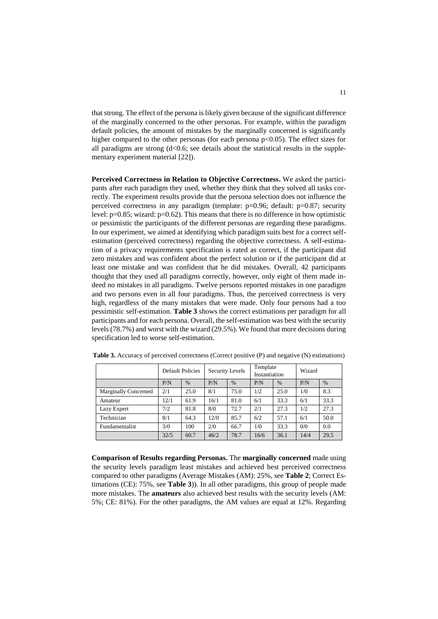that strong. The effect of the persona is likely given because of the significant difference of the marginally concerned to the other personas. For example, within the paradigm default policies, the amount of mistakes by the marginally concerned is significantly higher compared to the other personas (for each persona p<0.05). The effect sizes for all paradigms are strong  $(d< 0.6$ ; see details about the statistical results in the supplementary experiment material [\[22\]](#page-15-8)).

**Perceived Correctness in Relation to Objective Correctness.** We asked the participants after each paradigm they used, whether they think that they solved all tasks correctly. The experiment results provide that the persona selection does not influence the perceived correctness in any paradigm (template: p=0.96; default: p=0.87; security level:  $p=0.85$ ; wizard:  $p=0.62$ ). This means that there is no difference in how optimistic or pessimistic the participants of the different personas are regarding these paradigms. In our experiment, we aimed at identifying which paradigm suits best for a correct selfestimation (perceived correctness) regarding the objective correctness. A self-estimation of a privacy requirements specification is rated as correct, if the participant did zero mistakes and was confident about the perfect solution or if the participant did at least one mistake and was confident that he did mistakes. Overall, 42 participants thought that they used all paradigms correctly, however, only eight of them made indeed no mistakes in all paradigms. Twelve persons reported mistakes in one paradigm and two persons even in all four paradigms. Thus, the perceived correctness is very high, regardless of the many mistakes that were made. Only four persons had a too pessimistic self-estimation. **[Table 3](#page-10-0)** shows the correct estimations per paradigm for all participants and for each persona. Overall, the self-estimation was best with the security levels (78.7%) and worst with the wizard (29.5%). We found that more decisions during specification led to worse self-estimation.

|                             | <b>Default Policies</b> |      | Security Levels |               | Template<br>Instantiation |               | Wizard |               |
|-----------------------------|-------------------------|------|-----------------|---------------|---------------------------|---------------|--------|---------------|
|                             | P/N                     | $\%$ | P/N             | $\frac{0}{0}$ | P/N                       | $\frac{0}{0}$ | P/N    | $\frac{0}{0}$ |
| <b>Marginally Concerned</b> | 2/1                     | 25.0 | 8/1             | 75.0          | 1/2                       | 25.0          | 1/0    | 8.3           |
| Amateur                     | 12/1                    | 61.9 | 16/1            | 81.0          | 6/1                       | 33.3          | 6/1    | 33.3          |
| Lazy Expert                 | 7/2                     | 81.8 | 8/0             | 72.7          | 2/1                       | 27.3          | 1/2    | 27.3          |
| Technician                  | 8/1                     | 64.3 | 12/0            | 85.7          | 6/2                       | 57.1          | 6/1    | 50.0          |
| Fundamentalist              | 3/0                     | 100  | 2/0             | 66.7          | 1/0                       | 33.3          | 0/0    | 0.0           |
|                             | 32/5                    | 60.7 | 46/2            | 78.7          | 16/6                      | 36.1          | 14/4   | 29.5          |

<span id="page-10-0"></span>**Table 3.** Accuracy of perceived correctness (Correct positive (P) and negative (N) estimations)

**Comparison of Results regarding Personas.** The **marginally concerned** made using the security levels paradigm least mistakes and achieved best perceived correctness compared to other paradigms (Average Mistakes (AM): 25%, see **[Table 2](#page-9-1)**; Correct Estimations (CE): 75%, see **[Table 3](#page-10-0)**)). In all other paradigms, this group of people made more mistakes. The **amateurs** also achieved best results with the security levels (AM: 5%; CE: 81%). For the other paradigms, the AM values are equal at 12%. Regarding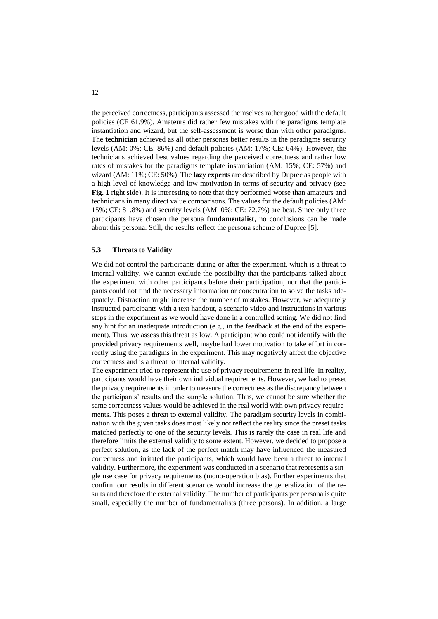the perceived correctness, participants assessed themselves rather good with the default policies (CE 61.9%). Amateurs did rather few mistakes with the paradigms template instantiation and wizard, but the self-assessment is worse than with other paradigms. The **technician** achieved as all other personas better results in the paradigms security levels (AM: 0%; CE: 86%) and default policies (AM: 17%; CE: 64%). However, the technicians achieved best values regarding the perceived correctness and rather low rates of mistakes for the paradigms template instantiation (AM: 15%; CE: 57%) and wizard (AM: 11%; CE: 50%). The **lazy experts** are described by Dupree as people with a high level of knowledge and low motivation in terms of security and privacy (see **[Fig.](#page-4-0) 1** right side). It is interesting to note that they performed worse than amateurs and technicians in many direct value comparisons. The values for the default policies (AM: 15%; CE: 81.8%) and security levels (AM: 0%; CE: 72.7%) are best. Since only three participants have chosen the persona **fundamentalist**, no conclusions can be made about this persona. Still, the results reflect the persona scheme of Dupree [\[5\]](#page-14-3).

#### **5.3 Threats to Validity**

We did not control the participants during or after the experiment, which is a threat to internal validity. We cannot exclude the possibility that the participants talked about the experiment with other participants before their participation, nor that the participants could not find the necessary information or concentration to solve the tasks adequately. Distraction might increase the number of mistakes. However, we adequately instructed participants with a text handout, a scenario video and instructions in various steps in the experiment as we would have done in a controlled setting. We did not find any hint for an inadequate introduction (e.g., in the feedback at the end of the experiment). Thus, we assess this threat as low. A participant who could not identify with the provided privacy requirements well, maybe had lower motivation to take effort in correctly using the paradigms in the experiment. This may negatively affect the objective correctness and is a threat to internal validity.

The experiment tried to represent the use of privacy requirements in real life. In reality, participants would have their own individual requirements. However, we had to preset the privacy requirements in order to measure the correctness as the discrepancy between the participants' results and the sample solution. Thus, we cannot be sure whether the same correctness values would be achieved in the real world with own privacy requirements. This poses a threat to external validity. The paradigm security levels in combination with the given tasks does most likely not reflect the reality since the preset tasks matched perfectly to one of the security levels. This is rarely the case in real life and therefore limits the external validity to some extent. However, we decided to propose a perfect solution, as the lack of the perfect match may have influenced the measured correctness and irritated the participants, which would have been a threat to internal validity. Furthermore, the experiment was conducted in a scenario that represents a single use case for privacy requirements (mono-operation bias). Further experiments that confirm our results in different scenarios would increase the generalization of the results and therefore the external validity. The number of participants per persona is quite small, especially the number of fundamentalists (three persons). In addition, a large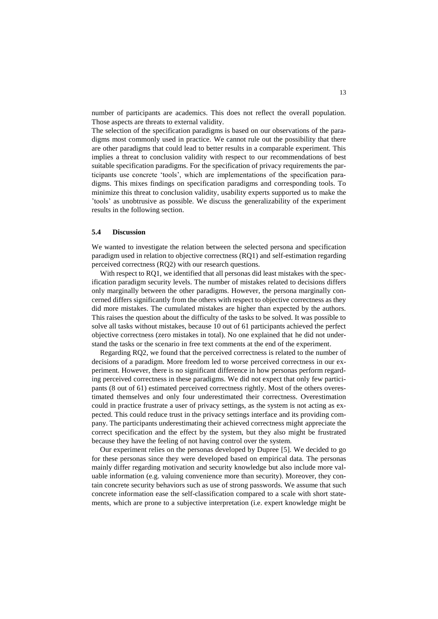number of participants are academics. This does not reflect the overall population. Those aspects are threats to external validity.

The selection of the specification paradigms is based on our observations of the paradigms most commonly used in practice. We cannot rule out the possibility that there are other paradigms that could lead to better results in a comparable experiment. This implies a threat to conclusion validity with respect to our recommendations of best suitable specification paradigms. For the specification of privacy requirements the participants use concrete 'tools', which are implementations of the specification paradigms. This mixes findings on specification paradigms and corresponding tools. To minimize this threat to conclusion validity, usability experts supported us to make the 'tools' as unobtrusive as possible. We discuss the generalizability of the experiment results in the following section.

#### **5.4 Discussion**

We wanted to investigate the relation between the selected persona and specification paradigm used in relation to objective correctness (RQ1) and self-estimation regarding perceived correctness (RQ2) with our research questions.

With respect to RQ1, we identified that all personas did least mistakes with the specification paradigm security levels. The number of mistakes related to decisions differs only marginally between the other paradigms. However, the persona marginally concerned differs significantly from the others with respect to objective correctness as they did more mistakes. The cumulated mistakes are higher than expected by the authors. This raises the question about the difficulty of the tasks to be solved. It was possible to solve all tasks without mistakes, because 10 out of 61 participants achieved the perfect objective correctness (zero mistakes in total). No one explained that he did not understand the tasks or the scenario in free text comments at the end of the experiment.

Regarding RQ2, we found that the perceived correctness is related to the number of decisions of a paradigm. More freedom led to worse perceived correctness in our experiment. However, there is no significant difference in how personas perform regarding perceived correctness in these paradigms. We did not expect that only few participants (8 out of 61) estimated perceived correctness rightly. Most of the others overestimated themselves and only four underestimated their correctness. Overestimation could in practice frustrate a user of privacy settings, as the system is not acting as expected. This could reduce trust in the privacy settings interface and its providing company. The participants underestimating their achieved correctness might appreciate the correct specification and the effect by the system, but they also might be frustrated because they have the feeling of not having control over the system.

Our experiment relies on the personas developed by Dupree [\[5\]](#page-14-3). We decided to go for these personas since they were developed based on empirical data. The personas mainly differ regarding motivation and security knowledge but also include more valuable information (e.g. valuing convenience more than security). Moreover, they contain concrete security behaviors such as use of strong passwords. We assume that such concrete information ease the self-classification compared to a scale with short statements, which are prone to a subjective interpretation (i.e. expert knowledge might be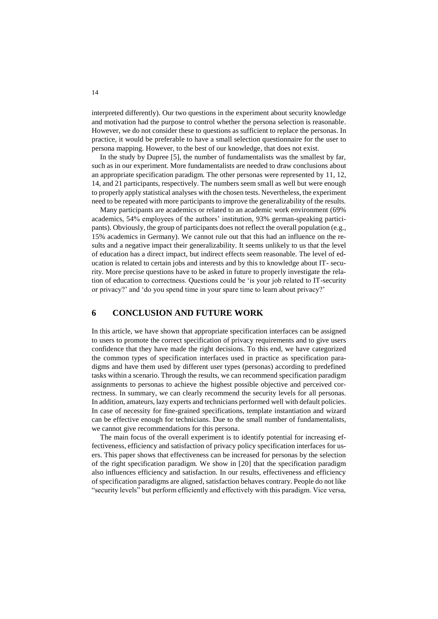interpreted differently). Our two questions in the experiment about security knowledge and motivation had the purpose to control whether the persona selection is reasonable. However, we do not consider these to questions as sufficient to replace the personas. In practice, it would be preferable to have a small selection questionnaire for the user to persona mapping. However, to the best of our knowledge, that does not exist.

In the study by Dupree [\[5\]](#page-14-3), the number of fundamentalists was the smallest by far, such as in our experiment. More fundamentalists are needed to draw conclusions about an appropriate specification paradigm. The other personas were represented by 11, 12, 14, and 21 participants, respectively. The numbers seem small as well but were enough to properly apply statistical analyses with the chosen tests. Nevertheless, the experiment need to be repeated with more participants to improve the generalizability of the results.

Many participants are academics or related to an academic work environment (69% academics, 54% employees of the authors' institution, 93% german-speaking participants). Obviously, the group of participants does not reflect the overall population (e.g., 15% academics in Germany). We cannot rule out that this had an influence on the results and a negative impact their generalizability. It seems unlikely to us that the level of education has a direct impact, but indirect effects seem reasonable. The level of education is related to certain jobs and interests and by this to knowledge about IT- security. More precise questions have to be asked in future to properly investigate the relation of education to correctness. Questions could be 'is your job related to IT-security or privacy?' and 'do you spend time in your spare time to learn about privacy?'

## **6 CONCLUSION AND FUTURE WORK**

In this article, we have shown that appropriate specification interfaces can be assigned to users to promote the correct specification of privacy requirements and to give users confidence that they have made the right decisions. To this end, we have categorized the common types of specification interfaces used in practice as specification paradigms and have them used by different user types (personas) according to predefined tasks within a scenario. Through the results, we can recommend specification paradigm assignments to personas to achieve the highest possible objective and perceived correctness. In summary, we can clearly recommend the security levels for all personas. In addition, amateurs, lazy experts and technicians performed well with default policies. In case of necessity for fine-grained specifications, template instantiation and wizard can be effective enough for technicians. Due to the small number of fundamentalists, we cannot give recommendations for this persona.

The main focus of the overall experiment is to identify potential for increasing effectiveness, efficiency and satisfaction of privacy policy specification interfaces for users. This paper shows that effectiveness can be increased for personas by the selection of the right specification paradigm. We show in [\[20\]](#page-15-0) that the specification paradigm also influences efficiency and satisfaction. In our results, effectiveness and efficiency of specification paradigms are aligned, satisfaction behaves contrary. People do not like "security levels" but perform efficiently and effectively with this paradigm. Vice versa,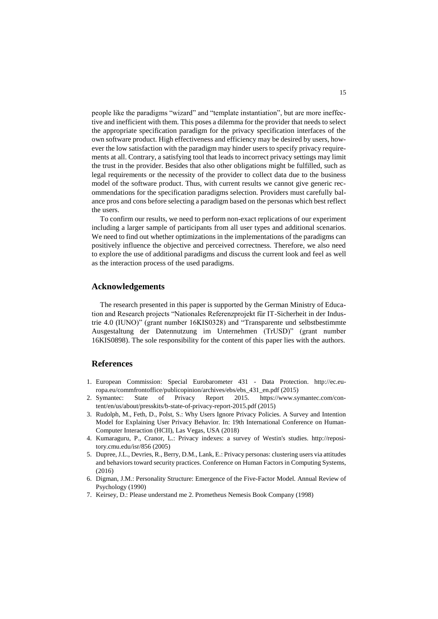people like the paradigms "wizard" and "template instantiation", but are more ineffective and inefficient with them. This poses a dilemma for the provider that needs to select the appropriate specification paradigm for the privacy specification interfaces of the own software product. High effectiveness and efficiency may be desired by users, however the low satisfaction with the paradigm may hinder users to specify privacy requirements at all. Contrary, a satisfying tool that leads to incorrect privacy settings may limit the trust in the provider. Besides that also other obligations might be fulfilled, such as legal requirements or the necessity of the provider to collect data due to the business model of the software product. Thus, with current results we cannot give generic recommendations for the specification paradigms selection. Providers must carefully balance pros and cons before selecting a paradigm based on the personas which best reflect the users.

To confirm our results, we need to perform non-exact replications of our experiment including a larger sample of participants from all user types and additional scenarios. We need to find out whether optimizations in the implementations of the paradigms can positively influence the objective and perceived correctness. Therefore, we also need to explore the use of additional paradigms and discuss the current look and feel as well as the interaction process of the used paradigms.

## **Acknowledgements**

The research presented in this paper is supported by the German Ministry of Education and Research projects "Nationales Referenzprojekt für IT-Sicherheit in der Industrie 4.0 (IUNO)" (grant number 16KIS0328) and "Transparente und selbstbestimmte Ausgestaltung der Datennutzung im Unternehmen (TrUSD)" (grant number 16KIS0898). The sole responsibility for the content of this paper lies with the authors.

## **References**

- <span id="page-14-0"></span>1. European Commission: Special Eurobarometer 431 - Data Protection. http://ec.europa.eu/commfrontoffice/publicopinion/archives/ebs/ebs\_431\_en.pdf (2015)
- <span id="page-14-1"></span>2. Symantec: State of Privacy Report 2015. https://www.symantec.com/content/en/us/about/presskits/b-state-of-privacy-report-2015.pdf (2015)
- <span id="page-14-2"></span>3. Rudolph, M., Feth, D., Polst, S.: Why Users Ignore Privacy Policies. A Survey and Intention Model for Explaining User Privacy Behavior. In: 19th International Conference on Human-Computer Interaction (HCII), Las Vegas, USA (2018)
- 4. Kumaraguru, P., Cranor, L.: Privacy indexes: a survey of Westin's studies. http://repository.cmu.edu/isr/856 (2005)
- <span id="page-14-3"></span>5. Dupree, J.L., Devries, R., Berry, D.M., Lank, E.: Privacy personas: clustering users via attitudes and behaviors toward security practices. Conference on Human Factors in Computing Systems, (2016)
- <span id="page-14-4"></span>6. Digman, J.M.: Personality Structure: Emergence of the Five-Factor Model. Annual Review of Psychology (1990)
- <span id="page-14-5"></span>7. Keirsey, D.: Please understand me 2. Prometheus Nemesis Book Company (1998)